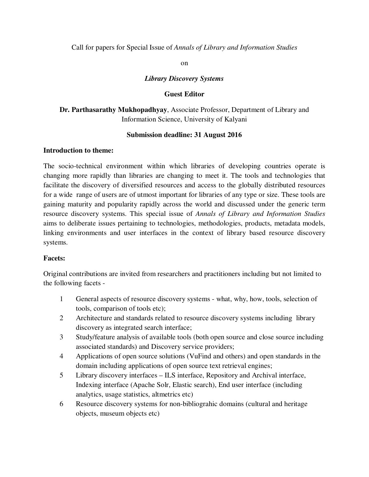#### Call for papers for Special Issue of *Annals of Library and Information Studies*

on

#### *Library Discovery Systems*

#### **Guest Editor**

## **Dr. Parthasarathy Mukhopadhyay**, Associate Professor, Department of Library and Information Science, University of Kalyani

#### **Submission deadline: 31 August 2016**

#### **Introduction to theme:**

The socio-technical environment within which libraries of developing countries operate is changing more rapidly than libraries are changing to meet it. The tools and technologies that facilitate the discovery of diversified resources and access to the globally distributed resources for a wide range of users are of utmost important for libraries of any type or size. These tools are gaining maturity and popularity rapidly across the world and discussed under the generic term resource discovery systems. This special issue of *Annals of Library and Information Studies*  aims to deliberate issues pertaining to technologies, methodologies, products, metadata models, linking environments and user interfaces in the context of library based resource discovery systems.

#### **Facets:**

Original contributions are invited from researchers and practitioners including but not limited to the following facets -

- 1 General aspects of resource discovery systems what, why, how, tools, selection of tools, comparison of tools etc);
- 2 Architecture and standards related to resource discovery systems including library discovery as integrated search interface;
- 3 Study/feature analysis of available tools (both open source and close source including associated standards) and Discovery service providers;
- 4 Applications of open source solutions (VuFind and others) and open standards in the domain including applications of open source text retrieval engines;
- 5 Library discovery interfaces ILS interface, Repository and Archival interface, Indexing interface (Apache Solr, Elastic search), End user interface (including analytics, usage statistics, altmetrics etc)
- 6 Resource discovery systems for non-bibliograhic domains (cultural and heritage objects, museum objects etc)